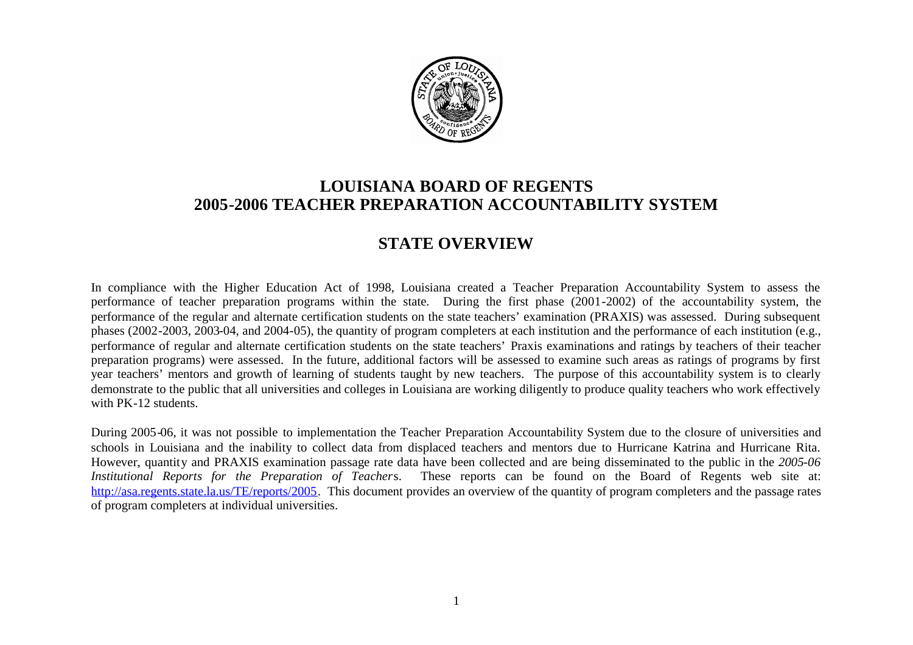

# **LOUISIANA BOARD OF REGENTS 2005-2006 TEACHER PREPARATION ACCOUNTABILITY SYSTEM**

# **STATE OVERVIEW**

In compliance with the Higher Education Act of 1998, Louisiana created a Teacher Preparation Accountability System to assess the performance of teacher preparation programs within the state. During the first phase (2001-2002) of the accountability system, the performance of the regular and alternate certification students on the state teachers' examination (PRAXIS) was assessed. During subsequent phases (2002-2003, 2003-04, and 2004-05), the quantity of program completers at each institution and the performance of each institution (e.g., performance of regular and alternate certification students on the state teachers' Praxis examinations and ratings by teachers of their teacher preparation programs) were assessed. In the future, additional factors will be assessed to examine such areas as ratings of programs by first year teachers' mentors and growth of learning of students taught by new teachers. The purpose of this accountability system is to clearly demonstrate to the public that all universities and colleges in Louisiana are working diligently to produce quality teachers who work effectively with PK-12 students.

During 2005-06, it was not possible to implementation the Teacher Preparation Accountability System due to the closure of universities and schools in Louisiana and the inability to collect data from displaced teachers and mentors due to Hurricane Katrina and Hurricane Rita. However, quantity and PRAXIS examination passage rate data have been collected and are being disseminated to the public in the *2005-06 Institutional Reports for the Preparation of Teacher*s. These reports can be found on the Board of Regents web site at: http://asa.regents.state.la.us/TE/reports/2005. This document provides an overview of the quantity of program completers and the passage rates of program completers at individual universities.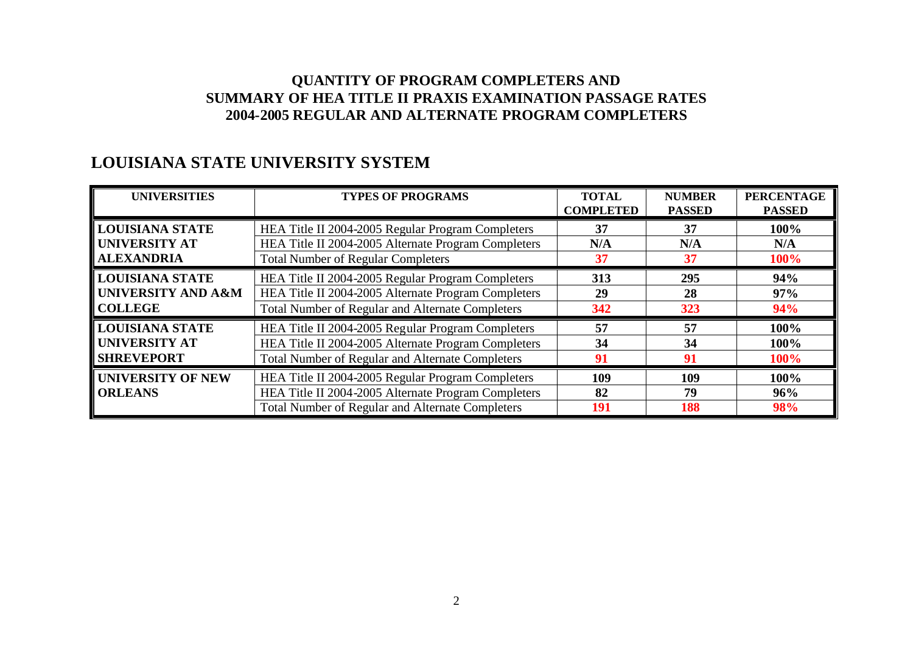## **LOUISIANA STATE UNIVERSITY SYSTEM**

| <b>UNIVERSITIES</b>      | <b>TYPES OF PROGRAMS</b>                                | <b>TOTAL</b><br><b>COMPLETED</b> | <b>NUMBER</b><br><b>PASSED</b> | <b>PERCENTAGE</b><br><b>PASSED</b> |
|--------------------------|---------------------------------------------------------|----------------------------------|--------------------------------|------------------------------------|
| <b>LOUISIANA STATE</b>   | HEA Title II 2004-2005 Regular Program Completers       | 37                               | 37                             | 100%                               |
| <b>UNIVERSITY AT</b>     | HEA Title II 2004-2005 Alternate Program Completers     | N/A                              | N/A                            | N/A                                |
| <b>ALEXANDRIA</b>        | <b>Total Number of Regular Completers</b>               | 37                               | 37                             | 100%                               |
| <b>LOUISIANA STATE</b>   | HEA Title II 2004-2005 Regular Program Completers       | 313                              | 295                            | 94%                                |
| UNIVERSITY AND A&M       | HEA Title II 2004-2005 Alternate Program Completers     | 29                               | 28                             | 97%                                |
| <b>COLLEGE</b>           | <b>Total Number of Regular and Alternate Completers</b> | 342                              | 323                            | 94%                                |
| <b>LOUISIANA STATE</b>   | HEA Title II 2004-2005 Regular Program Completers       | 57                               | 57                             | 100%                               |
| <b>UNIVERSITY AT</b>     | HEA Title II 2004-2005 Alternate Program Completers     | 34                               | 34                             | 100%                               |
| <b>SHREVEPORT</b>        | Total Number of Regular and Alternate Completers        |                                  | 91                             | 100%                               |
| <b>UNIVERSITY OF NEW</b> | HEA Title II 2004-2005 Regular Program Completers       | 109                              | 109                            | 100%                               |
| <b>ORLEANS</b>           | HEA Title II 2004-2005 Alternate Program Completers     | 82                               | 79                             | 96%                                |
|                          | Total Number of Regular and Alternate Completers        | 191                              | 188                            | 98%                                |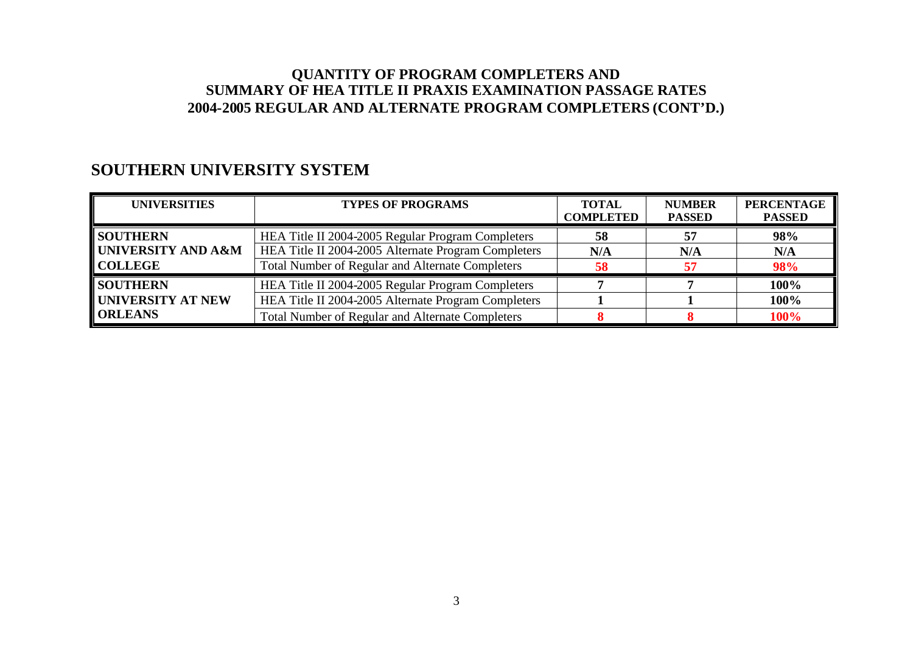## **SOUTHERN UNIVERSITY SYSTEM**

| <b>UNIVERSITIES</b>                                                       | <b>TYPES OF PROGRAMS</b>                                | <b>TOTAL</b><br><b>COMPLETED</b> | <b>NUMBER</b><br><b>PASSED</b> | <b>PERCENTAGE</b><br><b>PASSED</b> |
|---------------------------------------------------------------------------|---------------------------------------------------------|----------------------------------|--------------------------------|------------------------------------|
| <b>SOUTHERN</b><br>HEA Title II 2004-2005 Regular Program Completers      |                                                         | 58                               | 57                             | 98%                                |
| UNIVERSITY AND A&M                                                        | HEA Title II 2004-2005 Alternate Program Completers     | N/A                              | N/A                            | N/A                                |
| <b>COLLEGE</b>                                                            | <b>Total Number of Regular and Alternate Completers</b> | 58                               | 57                             | 98%                                |
| <b>SOUTHERN</b>                                                           | HEA Title II 2004-2005 Regular Program Completers       |                                  |                                | 100%                               |
| UNIVERSITY AT NEW                                                         | HEA Title II 2004-2005 Alternate Program Completers     |                                  |                                | 100%                               |
| <b>ORLEANS</b><br><b>Total Number of Regular and Alternate Completers</b> |                                                         |                                  |                                | 100%                               |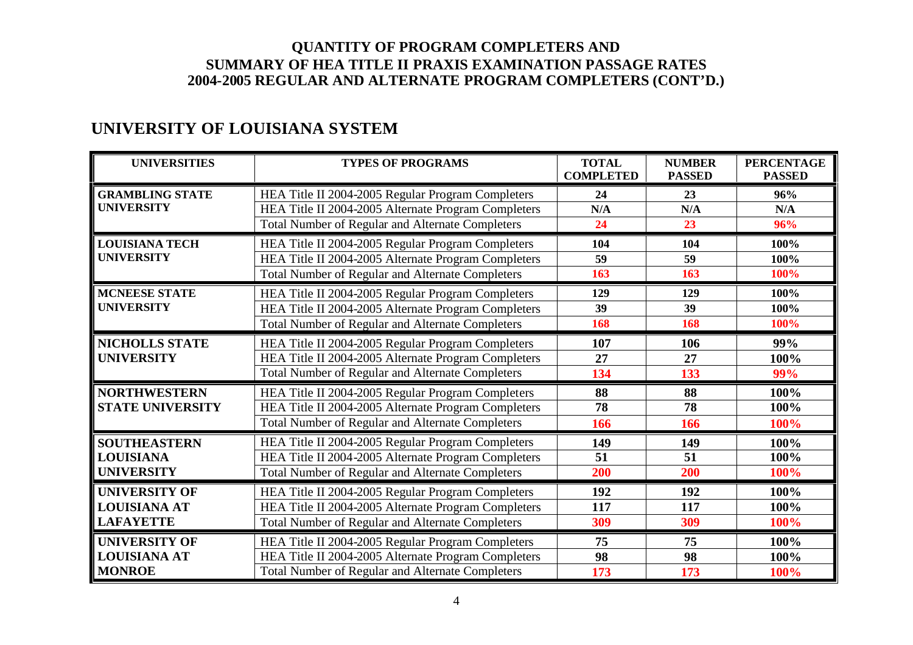# **UNIVERSITY OF LOUISIANA SYSTEM**

| <b>UNIVERSITIES</b>                                             | <b>TYPES OF PROGRAMS</b>                                                                                                                                            | <b>TOTAL</b><br><b>COMPLETED</b> | <b>NUMBER</b><br><b>PASSED</b> | <b>PERCENTAGE</b><br><b>PASSED</b> |
|-----------------------------------------------------------------|---------------------------------------------------------------------------------------------------------------------------------------------------------------------|----------------------------------|--------------------------------|------------------------------------|
| <b>GRAMBLING STATE</b><br><b>UNIVERSITY</b>                     | HEA Title II 2004-2005 Regular Program Completers<br>HEA Title II 2004-2005 Alternate Program Completers<br>Total Number of Regular and Alternate Completers        | 24<br>N/A<br>24                  | 23<br>N/A<br>23                | 96%<br>N/A<br>96%                  |
| <b>LOUISIANA TECH</b><br><b>UNIVERSITY</b>                      | HEA Title II 2004-2005 Regular Program Completers<br>HEA Title II 2004-2005 Alternate Program Completers<br>Total Number of Regular and Alternate Completers        | 104<br>59<br>163                 | 104<br>59<br>163               | 100%<br>100%<br>100%               |
| <b>MCNEESE STATE</b><br><b>UNIVERSITY</b>                       | HEA Title II 2004-2005 Regular Program Completers<br>HEA Title II 2004-2005 Alternate Program Completers<br><b>Total Number of Regular and Alternate Completers</b> | 129<br>39<br>168                 | 129<br>39<br>168               | 100%<br>100%<br>100%               |
| <b>NICHOLLS STATE</b><br><b>UNIVERSITY</b>                      | HEA Title II 2004-2005 Regular Program Completers<br>HEA Title II 2004-2005 Alternate Program Completers<br>Total Number of Regular and Alternate Completers        | 107<br>27<br>134                 | 106<br>27<br>133               | 99%<br>100%<br>99%                 |
| <b>NORTHWESTERN</b><br><b>STATE UNIVERSITY</b>                  | HEA Title II 2004-2005 Regular Program Completers<br>HEA Title II 2004-2005 Alternate Program Completers<br><b>Total Number of Regular and Alternate Completers</b> | 88<br>78<br>166                  | 88<br>78<br>166                | 100%<br>100%<br>100%               |
| <b>SOUTHEASTERN</b><br><b>LOUISIANA</b><br><b>UNIVERSITY</b>    | HEA Title II 2004-2005 Regular Program Completers<br>HEA Title II 2004-2005 Alternate Program Completers<br>Total Number of Regular and Alternate Completers        | 149<br>51<br>200                 | 149<br>51<br>200               | 100%<br>100%<br>100%               |
| <b>UNIVERSITY OF</b><br><b>LOUISIANA AT</b><br><b>LAFAYETTE</b> | HEA Title II 2004-2005 Regular Program Completers<br>HEA Title II 2004-2005 Alternate Program Completers<br><b>Total Number of Regular and Alternate Completers</b> | 192<br>117<br>309                | 192<br>117<br>309              | 100%<br>100%<br>100%               |
| <b>UNIVERSITY OF</b><br><b>LOUISIANA AT</b><br><b>MONROE</b>    | HEA Title II 2004-2005 Regular Program Completers<br>HEA Title II 2004-2005 Alternate Program Completers<br><b>Total Number of Regular and Alternate Completers</b> | 75<br>98<br>173                  | 75<br>98<br>173                | 100%<br>100%<br>100%               |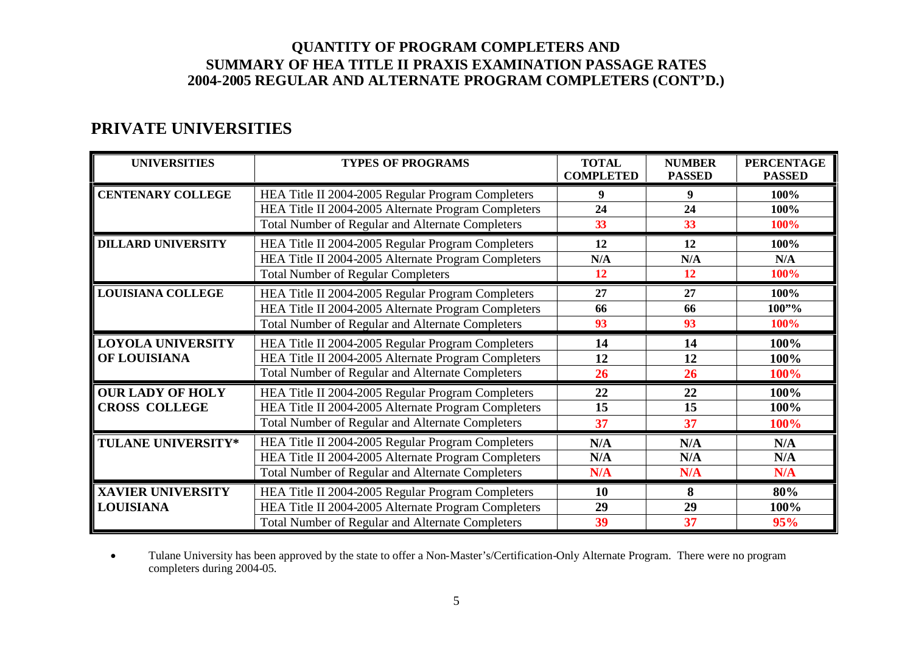# **PRIVATE UNIVERSITIES**

| <b>UNIVERSITIES</b>                                                     | <b>TYPES OF PROGRAMS</b>                                | <b>TOTAL</b><br><b>COMPLETED</b> | <b>NUMBER</b><br><b>PASSED</b> | <b>PERCENTAGE</b><br><b>PASSED</b> |
|-------------------------------------------------------------------------|---------------------------------------------------------|----------------------------------|--------------------------------|------------------------------------|
| <b>CENTENARY COLLEGE</b>                                                | HEA Title II 2004-2005 Regular Program Completers       |                                  | 9                              | 100%                               |
|                                                                         | HEA Title II 2004-2005 Alternate Program Completers     | 24                               | 24                             | 100%                               |
|                                                                         | Total Number of Regular and Alternate Completers        | 33                               | 33                             | 100%                               |
| <b>DILLARD UNIVERSITY</b>                                               | HEA Title II 2004-2005 Regular Program Completers       | 12                               | 12                             | 100%                               |
|                                                                         | HEA Title II 2004-2005 Alternate Program Completers     | N/A                              | N/A                            | N/A                                |
|                                                                         | <b>Total Number of Regular Completers</b>               | 12                               | 12                             | 100%                               |
| <b>LOUISIANA COLLEGE</b>                                                | HEA Title II 2004-2005 Regular Program Completers       | 27                               | 27                             | 100%                               |
|                                                                         | HEA Title II 2004-2005 Alternate Program Completers     | 66                               | 66                             | $100"$ %                           |
|                                                                         | <b>Total Number of Regular and Alternate Completers</b> | 93                               | 93                             | 100%                               |
| <b>LOYOLA UNIVERSITY</b>                                                | HEA Title II 2004-2005 Regular Program Completers       | 14                               | 14                             | 100%                               |
| OF LOUISIANA                                                            | HEA Title II 2004-2005 Alternate Program Completers     | 12                               | 12                             | 100%                               |
|                                                                         | Total Number of Regular and Alternate Completers        | 26                               | 26                             | 100%                               |
| <b>OUR LADY OF HOLY</b>                                                 | HEA Title II 2004-2005 Regular Program Completers       | 22                               | 22                             | 100%                               |
| <b>CROSS COLLEGE</b>                                                    | HEA Title II 2004-2005 Alternate Program Completers     | 15                               | 15                             | 100%                               |
|                                                                         | Total Number of Regular and Alternate Completers        | 37                               | 37                             | 100%                               |
| TULANE UNIVERSITY*                                                      | HEA Title II 2004-2005 Regular Program Completers       | N/A                              | N/A                            | N/A                                |
|                                                                         | HEA Title II 2004-2005 Alternate Program Completers     | N/A                              | N/A                            | N/A                                |
|                                                                         | Total Number of Regular and Alternate Completers        | N/A                              | N/A                            | N/A                                |
| <b>XAVIER UNIVERSITY</b>                                                | HEA Title II 2004-2005 Regular Program Completers       | 10                               | 8                              | 80%                                |
| <b>LOUISIANA</b><br>HEA Title II 2004-2005 Alternate Program Completers |                                                         | 29                               | 29                             | 100%                               |
|                                                                         | <b>Total Number of Regular and Alternate Completers</b> | 39                               | 37                             | 95%                                |

 Tulane University has been approved by the state to offer a Non-Master's/Certification-Only Alternate Program. There were no program completers during 2004-05.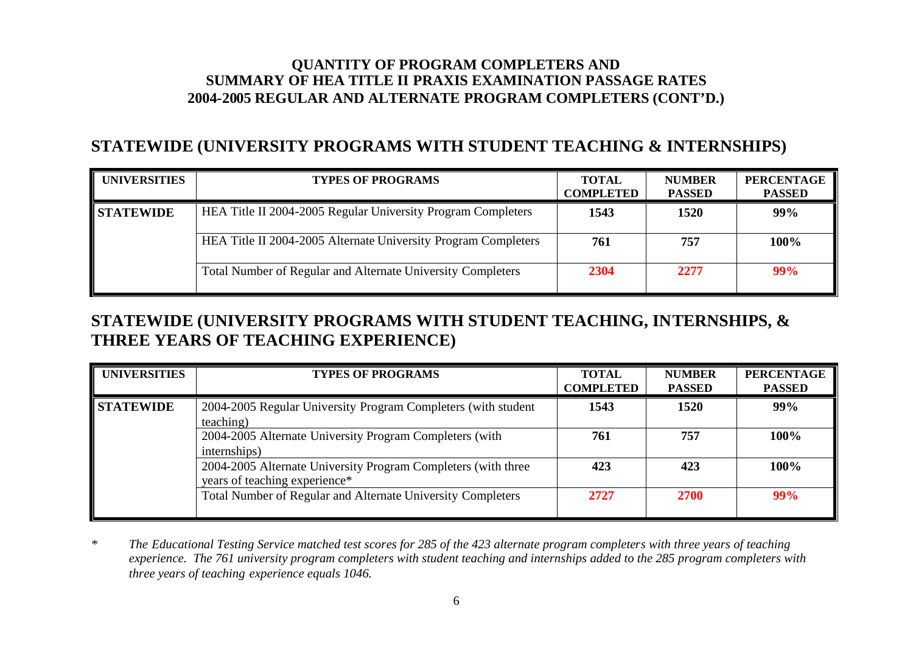## **STATEWIDE (UNIVERSITY PROGRAMS WITH STUDENT TEACHING & INTERNSHIPS)**

| <b>UNIVERSITIES</b> | <b>TYPES OF PROGRAMS</b>                                       | <b>TOTAL</b><br><b>COMPLETED</b> | <b>NUMBER</b><br><b>PASSED</b> | <b>PERCENTAGE</b><br><b>PASSED</b> |
|---------------------|----------------------------------------------------------------|----------------------------------|--------------------------------|------------------------------------|
| <b>STATEWIDE</b>    | HEA Title II 2004-2005 Regular University Program Completers   | 1543                             | 1520                           | 99%                                |
|                     | HEA Title II 2004-2005 Alternate University Program Completers | 761                              | 757                            | 100%                               |
|                     | Total Number of Regular and Alternate University Completers    | 2304                             | 2277                           | 99%                                |

# **STATEWIDE (UNIVERSITY PROGRAMS WITH STUDENT TEACHING, INTERNSHIPS, & THREE YEARS OF TEACHING EXPERIENCE)**

| <b>UNIVERSITIES</b> | <b>TYPES OF PROGRAMS</b>                                                                       | <b>TOTAL</b><br><b>COMPLETED</b> | <b>NUMBER</b><br><b>PASSED</b> | <b>PERCENTAGE</b><br><b>PASSED</b> |
|---------------------|------------------------------------------------------------------------------------------------|----------------------------------|--------------------------------|------------------------------------|
| <b>STATEWIDE</b>    | 2004-2005 Regular University Program Completers (with student<br>teaching)                     | 1543                             | 1520                           | 99%                                |
|                     | 2004-2005 Alternate University Program Completers (with<br>internships)                        | 761                              | 757                            | 100%                               |
|                     | 2004-2005 Alternate University Program Completers (with three<br>years of teaching experience* | 423                              | 423                            | 100%                               |
|                     | Total Number of Regular and Alternate University Completers                                    | 2727                             | 2700                           | 99%                                |

*\* The Educational Testing Service matched test scores for 285 of the 423 alternate program completers with three years of teaching experience. The 761 university program completers with student teaching and internships added to the 285 program completers with three years of teaching experience equals 1046.*